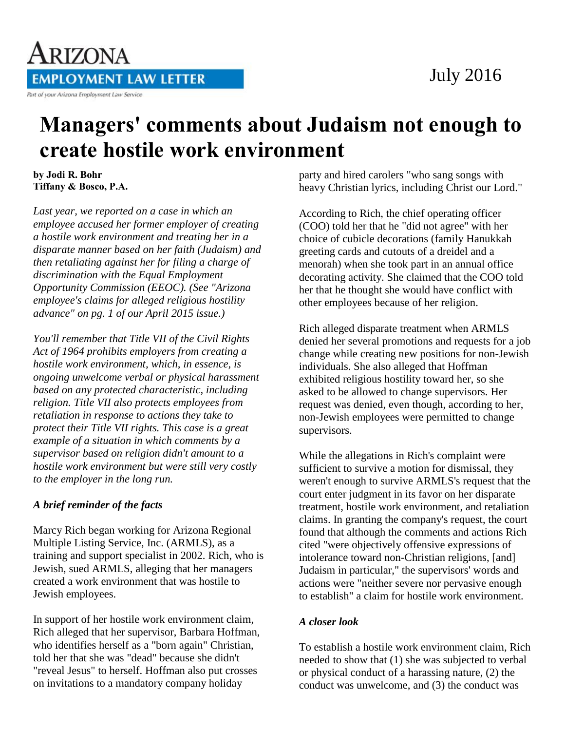

## ARIZONA **EMPLOYMENT LAW LETTER** Part of your Arizona Employment Law Service

# **Managers' comments about Judaism not enough to create hostile work environment**

**by Jodi R. Bohr Tiffany & Bosco, P.A.** 

*Last year, we reported on a case in which an employee accused her former employer of creating a hostile work environment and treating her in a disparate manner based on her faith (Judaism) and then retaliating against her for filing a charge of discrimination with the Equal Employment Opportunity Commission (EEOC). (See "Arizona employee's claims for alleged religious hostility advance" on pg. 1 of our April 2015 issue.)* 

*You'll remember that Title VII of the Civil Rights Act of 1964 prohibits employers from creating a hostile work environment, which, in essence, is ongoing unwelcome verbal or physical harassment based on any protected characteristic, including religion. Title VII also protects employees from retaliation in response to actions they take to protect their Title VII rights. This case is a great example of a situation in which comments by a supervisor based on religion didn't amount to a hostile work environment but were still very costly to the employer in the long run.*

### *A brief reminder of the facts*

Marcy Rich began working for Arizona Regional Multiple Listing Service, Inc. (ARMLS), as a training and support specialist in 2002. Rich, who is Jewish, sued ARMLS, alleging that her managers created a work environment that was hostile to Jewish employees.

In support of her hostile work environment claim, Rich alleged that her supervisor, Barbara Hoffman, who identifies herself as a "born again" Christian, told her that she was "dead" because she didn't "reveal Jesus" to herself. Hoffman also put crosses on invitations to a mandatory company holiday

party and hired carolers "who sang songs with heavy Christian lyrics, including Christ our Lord."

According to Rich, the chief operating officer (COO) told her that he "did not agree" with her choice of cubicle decorations (family Hanukkah greeting cards and cutouts of a dreidel and a menorah) when she took part in an annual office decorating activity. She claimed that the COO told her that he thought she would have conflict with other employees because of her religion.

Rich alleged disparate treatment when ARMLS denied her several promotions and requests for a job change while creating new positions for non-Jewish individuals. She also alleged that Hoffman exhibited religious hostility toward her, so she asked to be allowed to change supervisors. Her request was denied, even though, according to her, non-Jewish employees were permitted to change supervisors.

While the allegations in Rich's complaint were sufficient to survive a motion for dismissal, they weren't enough to survive ARMLS's request that the court enter judgment in its favor on her disparate treatment, hostile work environment, and retaliation claims. In granting the company's request, the court found that although the comments and actions Rich cited "were objectively offensive expressions of intolerance toward non-Christian religions, [and] Judaism in particular," the supervisors' words and actions were "neither severe nor pervasive enough to establish" a claim for hostile work environment.

### *A closer look*

To establish a hostile work environment claim, Rich needed to show that (1) she was subjected to verbal or physical conduct of a harassing nature, (2) the conduct was unwelcome, and (3) the conduct was